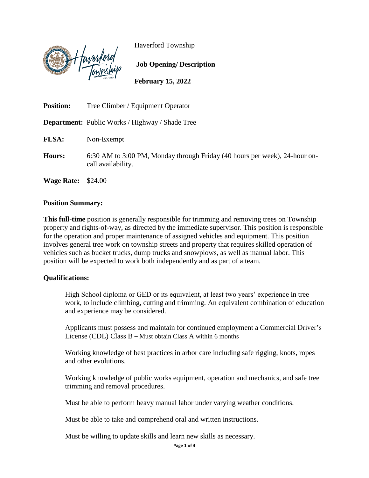

Haverford Township

**February 15, 2022**

**Job Opening/ Description**

**Position:** Tree Climber / Equipment Operator **Department:** Public Works / Highway / Shade Tree **FLSA:** Non-Exempt **Hours:** 6:30 AM to 3:00 PM, Monday through Friday (40 hours per week), 24-hour oncall availability. **Wage Rate:** \$24.00

#### **Position Summary:**

**This full-time** position is generally responsible for trimming and removing trees on Township property and rights-of-way, as directed by the immediate supervisor. This position is responsible for the operation and proper maintenance of assigned vehicles and equipment. This position involves general tree work on township streets and property that requires skilled operation of vehicles such as bucket trucks, dump trucks and snowplows, as well as manual labor. This position will be expected to work both independently and as part of a team.

### **Qualifications:**

High School diploma or GED or its equivalent, at least two years' experience in tree work, to include climbing, cutting and trimming. An equivalent combination of education and experience may be considered.

Applicants must possess and maintain for continued employment a Commercial Driver's License (CDL) Class B – Must obtain Class A within 6 months

Working knowledge of best practices in arbor care including safe rigging, knots, ropes and other evolutions.

Working knowledge of public works equipment, operation and mechanics, and safe tree trimming and removal procedures.

Must be able to perform heavy manual labor under varying weather conditions.

Must be able to take and comprehend oral and written instructions.

Must be willing to update skills and learn new skills as necessary.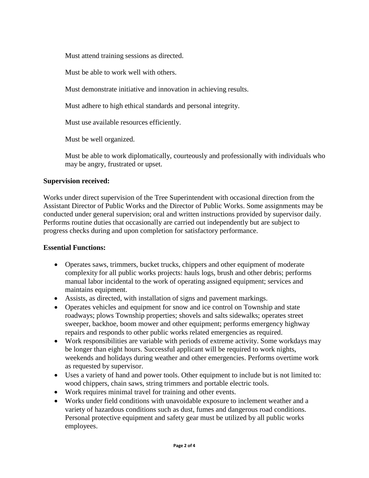Must attend training sessions as directed.

Must be able to work well with others.

Must demonstrate initiative and innovation in achieving results.

Must adhere to high ethical standards and personal integrity.

Must use available resources efficiently.

Must be well organized.

Must be able to work diplomatically, courteously and professionally with individuals who may be angry, frustrated or upset.

### **Supervision received:**

Works under direct supervision of the Tree Superintendent with occasional direction from the Assistant Director of Public Works and the Director of Public Works. Some assignments may be conducted under general supervision; oral and written instructions provided by supervisor daily. Performs routine duties that occasionally are carried out independently but are subject to progress checks during and upon completion for satisfactory performance.

### **Essential Functions:**

- Operates saws, trimmers, bucket trucks, chippers and other equipment of moderate complexity for all public works projects: hauls logs, brush and other debris; performs manual labor incidental to the work of operating assigned equipment; services and maintains equipment.
- Assists, as directed, with installation of signs and pavement markings.
- Operates vehicles and equipment for snow and ice control on Township and state roadways; plows Township properties; shovels and salts sidewalks; operates street sweeper, backhoe, boom mower and other equipment; performs emergency highway repairs and responds to other public works related emergencies as required.
- Work responsibilities are variable with periods of extreme activity. Some workdays may be longer than eight hours. Successful applicant will be required to work nights, weekends and holidays during weather and other emergencies. Performs overtime work as requested by supervisor.
- Uses a variety of hand and power tools. Other equipment to include but is not limited to: wood chippers, chain saws, string trimmers and portable electric tools.
- Work requires minimal travel for training and other events.
- Works under field conditions with unavoidable exposure to inclement weather and a variety of hazardous conditions such as dust, fumes and dangerous road conditions. Personal protective equipment and safety gear must be utilized by all public works employees.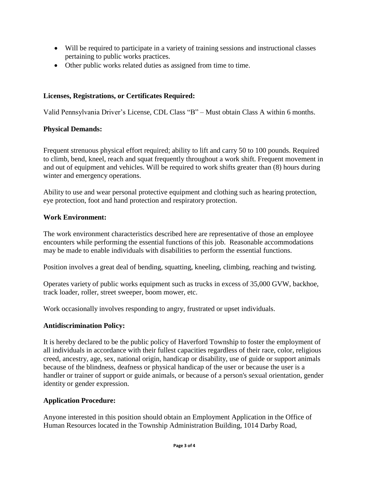- Will be required to participate in a variety of training sessions and instructional classes pertaining to public works practices.
- Other public works related duties as assigned from time to time.

# **Licenses, Registrations, or Certificates Required:**

Valid Pennsylvania Driver's License, CDL Class "B" – Must obtain Class A within 6 months.

# **Physical Demands:**

Frequent strenuous physical effort required; ability to lift and carry 50 to 100 pounds. Required to climb, bend, kneel, reach and squat frequently throughout a work shift. Frequent movement in and out of equipment and vehicles. Will be required to work shifts greater than (8) hours during winter and emergency operations.

Ability to use and wear personal protective equipment and clothing such as hearing protection, eye protection, foot and hand protection and respiratory protection.

## **Work Environment:**

The work environment characteristics described here are representative of those an employee encounters while performing the essential functions of this job. Reasonable accommodations may be made to enable individuals with disabilities to perform the essential functions.

Position involves a great deal of bending, squatting, kneeling, climbing, reaching and twisting.

Operates variety of public works equipment such as trucks in excess of 35,000 GVW, backhoe, track loader, roller, street sweeper, boom mower, etc.

Work occasionally involves responding to angry, frustrated or upset individuals.

## **Antidiscrimination Policy:**

It is hereby declared to be the public policy of Haverford Township to foster the employment of all individuals in accordance with their fullest capacities regardless of their race, color, religious creed, ancestry, age, sex, national origin, handicap or disability, use of guide or support animals because of the blindness, deafness or physical handicap of the user or because the user is a handler or trainer of support or guide animals, or because of a person's sexual orientation, gender identity or gender expression.

## **Application Procedure:**

Anyone interested in this position should obtain an Employment Application in the Office of Human Resources located in the Township Administration Building, 1014 Darby Road,